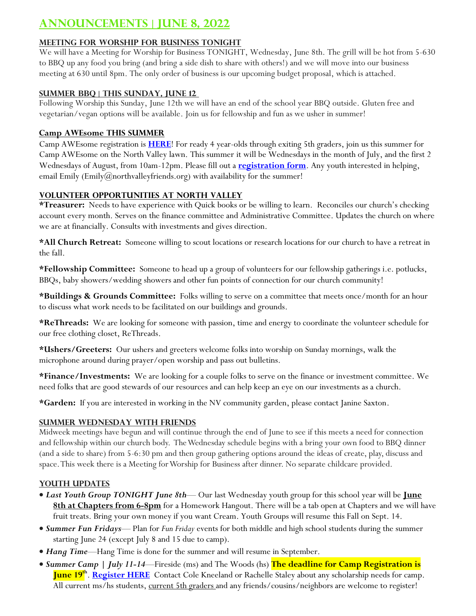# **Announcements | June 8, 2022**

# **Meeting for Worship for Business TONIGHT**

We will have a Meeting for Worship for Business TONIGHT, Wednesday, June 8th. The grill will be hot from 5-630 to BBQ up any food you bring (and bring a side dish to share with others!) and we will move into our business meeting at 630 until 8pm. The only order of business is our upcoming budget proposal, which is attached.

#### **Summer BBQ | This Sunday, June 12**

Following Worship this Sunday, June 12th we will have an end of the school year BBQ outside. Gluten free and vegetarian/vegan options will be available. Join us for fellowship and fun as we usher in summer!

# **Camp AWEsome this Summer**

Camp AWEsome registration is **[HERE](https://docs.google.com/forms/d/e/1FAIpQLSfNfgQg3cRA0t0qn4jWyHJrviv1_kkwRRjSX0gwcc0Y8nUX9w/viewform?usp=sf_link)**! For ready 4 year-olds through exiting 5th graders, join us this summer for Camp AWEsome on the North Valley lawn. This summer it will be Wednesdays in the month of July, and the first 2 Wednesdays of August, from 10am-12pm. Please fill out a **[registration form](https://docs.google.com/forms/d/e/1FAIpQLSfNfgQg3cRA0t0qn4jWyHJrviv1_kkwRRjSX0gwcc0Y8nUX9w/viewform?usp=sf_link)**. Any youth interested in helping, email Emily (Emily@northvalleyfriends.org) with availability for the summer!

#### **Volunteer Opportunities at North Valley**

**\*Treasurer:** Needs to have experience with Quick books or be willing to learn. Reconciles our church's checking account every month. Serves on the finance committee and Administrative Committee. Updates the church on where we are at financially. Consults with investments and gives direction.

**\*All Church Retreat:** Someone willing to scout locations or research locations for our church to have a retreat in the fall.

**\*Fellowship Committee:** Someone to head up a group of volunteers for our fellowship gatherings i.e. potlucks, BBQs, baby showers/wedding showers and other fun points of connection for our church community!

**\*Buildings & Grounds Committee:** Folks willing to serve on a committee that meets once/month for an hour to discuss what work needs to be facilitated on our buildings and grounds.

**\*ReThreads:** We are looking for someone with passion, time and energy to coordinate the volunteer schedule for our free clothing closet, ReThreads.

**\*Ushers/Greeters:** Our ushers and greeters welcome folks into worship on Sunday mornings, walk the microphone around during prayer/open worship and pass out bulletins.

**\*Finance/Investments:** We are looking for a couple folks to serve on the finance or investment committee. We need folks that are good stewards of our resources and can help keep an eye on our investments as a church.

**\*Garden:** If you are interested in working in the NV community garden, please contact Janine Saxton.

# **Summer Wednesday with Friends**

Midweek meetings have begun and will continue through the end of June to see if this meets a need for connection and fellowship within our church body. The Wednesday schedule begins with a bring your own food to BBQ dinner (and a side to share) from 5-6:30 pm and then group gathering options around the ideas of create, play, discuss and space. This week there is a Meeting for Worship for Business after dinner. No separate childcare provided.

# **Youth Updates**

- *Last Youth Group TONIGHT June 8th* Our last Wednesday youth group for this school year will be **June 8th at Chapters from 6-8pm** for a Homework Hangout. There will be a tab open at Chapters and we will have fruit treats. Bring your own money if you want Cream. Youth Groups will resume this Fall on Sept. 14.
- *Summer Fun Fridays* Plan for *Fun Friday* events for both middle and high school students during the summer starting June 24 (except July 8 and 15 due to camp).
- *Hang Time*—Hang Time is done for the summer and will resume in September.
- *Summer Camp | July 11-14*—Fireside (ms) and The Woods (hs) **The deadline for Camp Registration is June 19th** . **[Register HERE](https://docs.google.com/forms/d/e/1FAIpQLSeDHFqJgrMvHToKaM_LwsmYV-wVXOjTK_0O9hfe3NmUxfaXCQ/viewform)** Contact Cole Kneeland or Rachelle Staley about any scholarship needs for camp. All current ms/hs students, current 5th graders and any friends/cousins/neighbors are welcome to register!